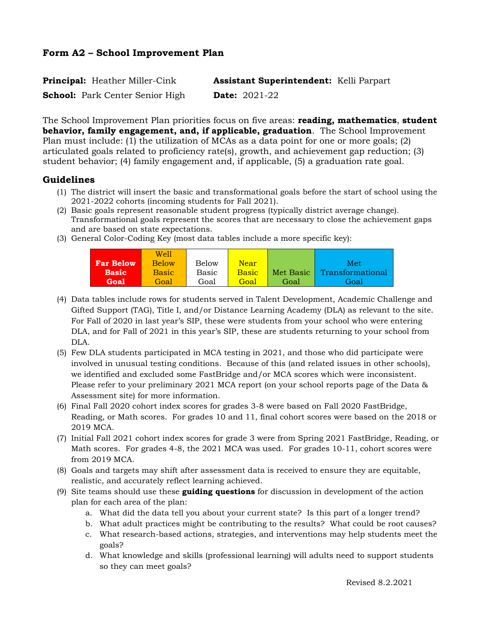| <b>Principal:</b> Heather Miller-Cink  | <b>Assistant Superintendent:</b> Kelli Parpart |
|----------------------------------------|------------------------------------------------|
| <b>School:</b> Park Center Senior High | <b>Date:</b> $2021-22$                         |

The School Improvement Plan priorities focus on five areas: **reading, mathematics**, **student behavior, family engagement, and, if applicable, graduation**. The School Improvement Plan must include: (1) the utilization of MCAs as a data point for one or more goals; (2) articulated goals related to proficiency rate(s), growth, and achievement gap reduction; (3) student behavior; (4) family engagement and, if applicable, (5) a graduation rate goal.

## **Guidelines**

- (1) The district will insert the basic and transformational goals before the start of school using the 2021-2022 cohorts (incoming students for Fall 2021).
- (2) Basic goals represent reasonable student progress (typically district average change). Transformational goals represent the scores that are necessary to close the achievement gaps and are based on state expectations.
- (3) General Color-Coding Key (most data tables include a more specific key):

|                  | We'll        |              |              |           |                  |
|------------------|--------------|--------------|--------------|-----------|------------------|
| <b>Far Below</b> | <b>Below</b> | <b>Below</b> | <b>Near</b>  |           | Met <sup>'</sup> |
| <b>Basic</b>     | <b>Basic</b> | Basic        | <b>Basic</b> | Met Basic | Transformational |
| Goal             | Goal         | Goal         | Goal         | Goal      | Goal             |

- (4) Data tables include rows for students served in Talent Development, Academic Challenge and Gifted Support (TAG), Title I, and/or Distance Learning Academy (DLA) as relevant to the site. For Fall of 2020 in last year's SIP, these were students from your school who were entering DLA, and for Fall of 2021 in this year's SIP, these are students returning to your school from DLA.
- (5) Few DLA students participated in MCA testing in 2021, and those who did participate were involved in unusual testing conditions. Because of this (and related issues in other schools), we identified and excluded some FastBridge and/or MCA scores which were inconsistent. Please refer to your preliminary 2021 MCA report (on your school reports page of the Data & Assessment site) for more information.
- (6) Final Fall 2020 cohort index scores for grades 3-8 were based on Fall 2020 FastBridge, Reading, or Math scores. For grades 10 and 11, final cohort scores were based on the 2018 or 2019 MCA.
- (7) Initial Fall 2021 cohort index scores for grade 3 were from Spring 2021 FastBridge, Reading, or Math scores. For grades 4-8, the 2021 MCA was used. For grades 10-11, cohort scores were from 2019 MCA.
- (8) Goals and targets may shift after assessment data is received to ensure they are equitable, realistic, and accurately reflect learning achieved.
- (9) Site teams should use these **guiding questions** for discussion in development of the action plan for each area of the plan:
	- a. What did the data tell you about your current state? Is this part of a longer trend?
	- b. What adult practices might be contributing to the results? What could be root causes?
	- c. What research-based actions, strategies, and interventions may help students meet the goals?
	- d. What knowledge and skills (professional learning) will adults need to support students so they can meet goals?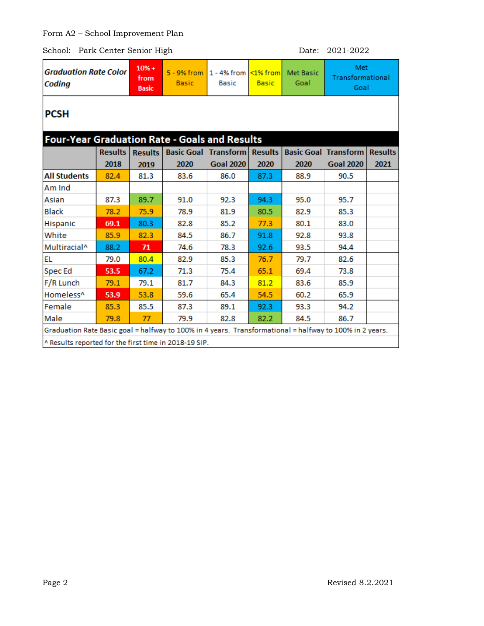| <b>Graduation Rate Color</b><br>Coding                                                                  |                | $10% +$<br>from<br><b>Basic</b> | $5 - 9%$ from<br><b>Basic</b> | 1 - 4% from<br><b>Basic</b> | $\leq$ 1% from<br><b>Basic</b> | <b>Met Basic</b><br>Goal | Met<br>Transformational<br>Goal |                |  |
|---------------------------------------------------------------------------------------------------------|----------------|---------------------------------|-------------------------------|-----------------------------|--------------------------------|--------------------------|---------------------------------|----------------|--|
| <b>PCSH</b>                                                                                             |                |                                 |                               |                             |                                |                          |                                 |                |  |
| <b>Four-Year Graduation Rate - Goals and Results</b>                                                    |                |                                 |                               |                             |                                |                          |                                 |                |  |
|                                                                                                         | <b>Results</b> | <b>Results</b>                  |                               | <b>Basic Goal Transform</b> | <b>Results</b>                 |                          | <b>Basic Goal Transform</b>     | <b>Results</b> |  |
|                                                                                                         | 2018           | 2019                            | 2020                          | <b>Goal 2020</b>            | 2020                           | 2020                     | <b>Goal 2020</b>                | 2021           |  |
| <b>All Students</b>                                                                                     | 82.4           | 81.3                            | 83.6                          | 86.0                        | 87.3                           | 88.9                     | 90.5                            |                |  |
| Am Ind                                                                                                  |                |                                 |                               |                             |                                |                          |                                 |                |  |
| Asian                                                                                                   | 87.3           | 89.7                            | 91.0                          | 92.3                        | 94.3                           | 95.0                     | 95.7                            |                |  |
| <b>Black</b>                                                                                            | 78.2           | 75.9                            | 78.9                          | 81.9                        | 80.5                           | 82.9                     | 85.3                            |                |  |
| Hispanic                                                                                                | 69.1           | 80.3                            | 82.8                          | 85.2                        | 77.3                           | 80.1                     | 83.0                            |                |  |
| White                                                                                                   | 85.9           | 82.3                            | 84.5                          | 86.7                        | 91.8                           | 92.8                     | 93.8                            |                |  |
| Multiracial <sup>^</sup>                                                                                | 88.2           | 71                              | 74.6                          | 78.3                        | 92.6                           | 93.5                     | 94.4                            |                |  |
| <b>EL</b>                                                                                               | 79.0           | 80.4                            | 82.9                          | 85.3                        | 76.7                           | 79.7                     | 82.6                            |                |  |
| <b>Spec Ed</b>                                                                                          | 53.5           | 67.2                            | 71.3                          | 75.4                        | 65.1                           | 69.4                     | 73.8                            |                |  |
| F/R Lunch                                                                                               | 79.1           | 79.1                            | 81.7                          | 84.3                        | 81.2                           | 83.6                     | 85.9                            |                |  |
| Homeless <sup>^</sup>                                                                                   | 53.9           | 53.8                            | 59.6                          | 65.4                        | 54.5                           | 60.2                     | 65.9                            |                |  |
| Female                                                                                                  | 85.3           | 85.5                            | 87.3                          | 89.1                        | 92.3                           | 93.3                     | 94.2                            |                |  |
| Male                                                                                                    | 79.8           | 77                              | 79.9                          | 82.8                        | 82.2                           | 84.5                     | 86.7                            |                |  |
| Graduation Rate Basic goal = halfway to 100% in 4 years. Transformational = halfway to 100% in 2 years. |                |                                 |                               |                             |                                |                          |                                 |                |  |
| ^ Results reported for the first time in 2018-19 SIP.                                                   |                |                                 |                               |                             |                                |                          |                                 |                |  |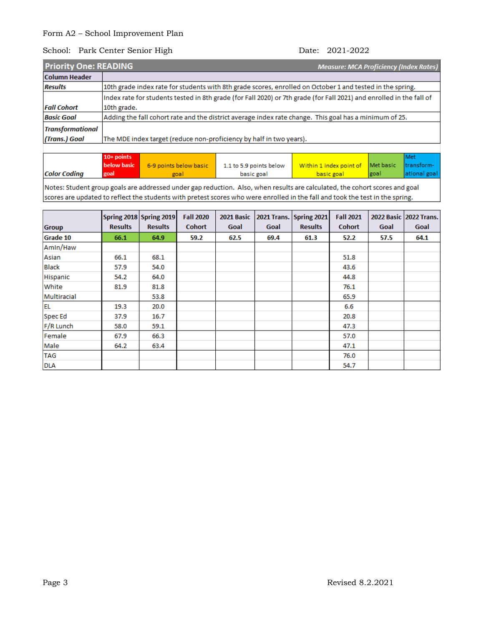### School: Park Center Senior High Date: 2021-2022

| <b>Priority One: READING</b> | <b>Measure: MCA Proficiency (Index Rates)</b>                                                                        |  |  |  |
|------------------------------|----------------------------------------------------------------------------------------------------------------------|--|--|--|
| <b>Column Header</b>         |                                                                                                                      |  |  |  |
| <b>Results</b>               | 10th grade index rate for students with 8th grade scores, enrolled on October 1 and tested in the spring.            |  |  |  |
|                              | Index rate for students tested in 8th grade (for Fall 2020) or 7th grade (for Fall 2021) and enrolled in the fall of |  |  |  |
| Fall Cohort                  | 10th grade.                                                                                                          |  |  |  |
| <b>Basic Goal</b>            | Adding the fall cohort rate and the district average index rate change. This goal has a minimum of 25.               |  |  |  |
| <b>Transformational</b>      |                                                                                                                      |  |  |  |
| (Trans.) Goal                | The MDE index target (reduce non-proficiency by half in two years).                                                  |  |  |  |
|                              |                                                                                                                      |  |  |  |

|                     | $10+$ points       |                        |                         |                                   |       | Met           |
|---------------------|--------------------|------------------------|-------------------------|-----------------------------------|-------|---------------|
|                     | <b>below basic</b> | 6-9 points below basic | 1.1 to 5.9 points below | Within 1 index point of Met basic |       | Itransform-   |
| <b>Color Coding</b> | goal               | goal                   | basic goal              | basic goal                        | lgoal | lational goal |

Notes: Student group goals are addressed under gap reduction. Also, when results are calculated, the cohort scores and goal scores are updated to reflect the students with pretest scores who were enrolled in the fall and took the test in the spring.

|               |                | Spring 2018 Spring 2019 | <b>Fall 2020</b> | 2021 Basic |      | 2021 Trans. Spring 2021 | <b>Fall 2021</b> |      | 2022 Basic 2022 Trans. |
|---------------|----------------|-------------------------|------------------|------------|------|-------------------------|------------------|------|------------------------|
| <b>Group</b>  | <b>Results</b> | <b>Results</b>          | <b>Cohort</b>    | Goal       | Goal | <b>Results</b>          | <b>Cohort</b>    | Goal | Goal                   |
| Grade 10      | 66.1           | 64.9                    | 59.2             | 62.5       | 69.4 | 61.3                    | 52.2             | 57.5 | 64.1                   |
| Amin/Haw      |                |                         |                  |            |      |                         |                  |      |                        |
| Asian         | 66.1           | 68.1                    |                  |            |      |                         | 51.8             |      |                        |
| <b>Black</b>  | 57.9           | 54.0                    |                  |            |      |                         | 43.6             |      |                        |
| Hispanic      | 54.2           | 64.0                    |                  |            |      |                         | 44.8             |      |                        |
| White         | 81.9           | 81.8                    |                  |            |      |                         | 76.1             |      |                        |
| Multiracial   |                | 53.8                    |                  |            |      |                         | 65.9             |      |                        |
| <b>EL</b>     | 19.3           | 20.0                    |                  |            |      |                         | 6.6              |      |                        |
| <b>SpecEd</b> | 37.9           | 16.7                    |                  |            |      |                         | 20.8             |      |                        |
| F/R Lunch     | 58.0           | 59.1                    |                  |            |      |                         | 47.3             |      |                        |
| Female        | 67.9           | 66.3                    |                  |            |      |                         | 57.0             |      |                        |
| Male          | 64.2           | 63.4                    |                  |            |      |                         | 47.1             |      |                        |
| <b>TAG</b>    |                |                         |                  |            |      |                         | 76.0             |      |                        |
| <b>DLA</b>    |                |                         |                  |            |      |                         | 54.7             |      |                        |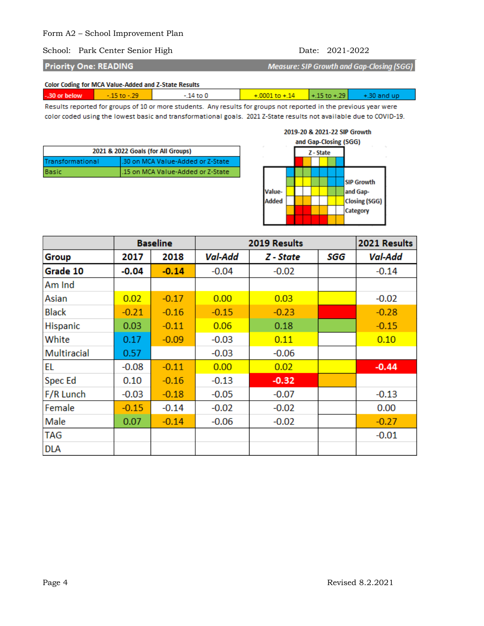### School: Park Center Senior High Date: 2021-2022

**Priority One: READING** 

**Measure: SIP Growth and Gap-Closing (SGG)** 

Color Coding for MCA Value-Added and Z-State Results

| -.30 or below | $-1510 - 797$ | $-14$ to $01$ | $+.0001$ to $+.14$ $+.15$ to $+.29$ $+ .30$ and up |  |  |  |
|---------------|---------------|---------------|----------------------------------------------------|--|--|--|
|               |               |               |                                                    |  |  |  |

Results reported for groups of 10 or more students. Any results for groups not reported in the previous year were color coded using the lowest basic and transformational goals. 2021 Z-State results not available due to COVID-19.

| 2021 & 2022 Goals (for All Groups) |                                    |  |  |  |
|------------------------------------|------------------------------------|--|--|--|
| Transformational                   | l.30 on MCA Value-Added or Z-State |  |  |  |
| Basic                              | 1.15 on MCA Value-Added or Z-State |  |  |  |

# 2019-20 & 2021-22 SIP Growth



|                    |         | <b>Baseline</b> | 2019 Results |           |     | 2021 Results |
|--------------------|---------|-----------------|--------------|-----------|-----|--------------|
| Group              | 2017    | 2018            | Val-Add      | Z - State | SGG | Val-Add      |
| Grade 10           | $-0.04$ | $-0.14$         | $-0.04$      | $-0.02$   |     | $-0.14$      |
| Am Ind             |         |                 |              |           |     |              |
| Asian              | 0.02    | $-0.17$         | 0.00         | 0.03      |     | $-0.02$      |
| Black              | $-0.21$ | $-0.16$         | $-0.15$      | $-0.23$   |     | $-0.28$      |
| Hispanic           | 0.03    | $-0.11$         | 0.06         | 0.18      |     | $-0.15$      |
| White              | 0.17    | $-0.09$         | $-0.03$      | 0.11      |     | 0.10         |
| <b>Multiracial</b> | 0.57    |                 | $-0.03$      | $-0.06$   |     |              |
| EL                 | $-0.08$ | $-0.11$         | 0.00         | 0.02      |     | $-0.44$      |
| <b>Spec Ed</b>     | 0.10    | $-0.16$         | $-0.13$      | $-0.32$   |     |              |
| F/R Lunch          | $-0.03$ | $-0.18$         | $-0.05$      | $-0.07$   |     | $-0.13$      |
| Female             | $-0.15$ | $-0.14$         | $-0.02$      | $-0.02$   |     | 0.00         |
| Male               | 0.07    | $-0.14$         | $-0.06$      | $-0.02$   |     | $-0.27$      |
| <b>TAG</b>         |         |                 |              |           |     | $-0.01$      |
| <b>DLA</b>         |         |                 |              |           |     |              |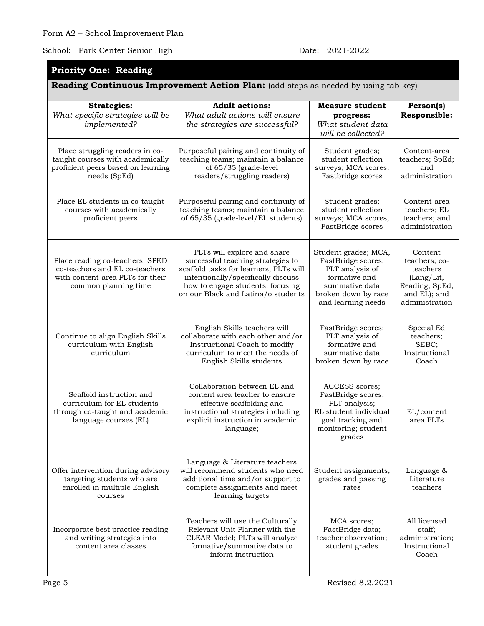# **Priority One: Reading**

|                                                                                                                               | <b>Reading Continuous Improvement Action Plan:</b> (add steps as needed by using tab key)                                                                                                                                  |                                                                                                                                               |                                                                                                        |
|-------------------------------------------------------------------------------------------------------------------------------|----------------------------------------------------------------------------------------------------------------------------------------------------------------------------------------------------------------------------|-----------------------------------------------------------------------------------------------------------------------------------------------|--------------------------------------------------------------------------------------------------------|
| <b>Strategies:</b><br>What specific strategies will be<br>implemented?                                                        | <b>Adult actions:</b><br>What adult actions will ensure<br>the strategies are successful?                                                                                                                                  | <b>Measure student</b><br>progress:<br>What student data<br>will be collected?                                                                | Person(s)<br>Responsible:                                                                              |
| Place struggling readers in co-<br>taught courses with academically<br>proficient peers based on learning<br>needs (SpEd)     | Purposeful pairing and continuity of<br>teaching teams; maintain a balance<br>of 65/35 (grade-level<br>readers/struggling readers)                                                                                         | Student grades;<br>student reflection<br>surveys; MCA scores,<br>Fastbridge scores                                                            | Content-area<br>teachers; SpEd;<br>and<br>administration                                               |
| Place EL students in co-taught<br>courses with academically<br>proficient peers                                               | Purposeful pairing and continuity of<br>teaching teams; maintain a balance<br>of 65/35 (grade-level/EL students)                                                                                                           | Student grades;<br>student reflection<br>surveys; MCA scores,<br>FastBridge scores                                                            | Content-area<br>teachers; EL<br>teachers; and<br>administration                                        |
| Place reading co-teachers, SPED<br>co-teachers and EL co-teachers<br>with content-area PLTs for their<br>common planning time | PLTs will explore and share<br>successful teaching strategies to<br>scaffold tasks for learners; PLTs will<br>intentionally/specifically discuss<br>how to engage students, focusing<br>on our Black and Latina/o students | Student grades; MCA,<br>FastBridge scores;<br>PLT analysis of<br>formative and<br>summative data<br>broken down by race<br>and learning needs | Content<br>teachers; co-<br>teachers<br>(Lang/Lit,<br>Reading, SpEd,<br>and EL); and<br>administration |
| Continue to align English Skills<br>curriculum with English<br>curriculum                                                     | English Skills teachers will<br>collaborate with each other and/or<br>Instructional Coach to modify<br>curriculum to meet the needs of<br>English Skills students                                                          | FastBridge scores;<br>PLT analysis of<br>formative and<br>summative data<br>broken down by race                                               | Special Ed<br>teachers;<br>SEBC;<br>Instructional<br>Coach                                             |
| Scaffold instruction and<br>curriculum for EL students<br>through co-taught and academic<br>language courses (EL)             | Collaboration between EL and<br>content area teacher to ensure<br>effective scaffolding and<br>instructional strategies including<br>explicit instruction in academic<br>language;                                         | ACCESS scores;<br>FastBridge scores;<br>PLT analysis;<br>EL student individual<br>goal tracking and<br>monitoring; student<br>grades          | EL/content<br>area PLTs                                                                                |
| Offer intervention during advisory<br>targeting students who are<br>enrolled in multiple English<br>courses                   | Language & Literature teachers<br>will recommend students who need<br>additional time and/or support to<br>complete assignments and meet<br>learning targets                                                               | Student assignments,<br>grades and passing<br>rates                                                                                           | Language &<br>Literature<br>teachers                                                                   |
| Incorporate best practice reading<br>and writing strategies into<br>content area classes                                      | Teachers will use the Culturally<br>Relevant Unit Planner with the<br>CLEAR Model; PLTs will analyze<br>formative/summative data to<br>inform instruction                                                                  | MCA scores:<br>FastBridge data;<br>teacher observation;<br>student grades                                                                     | All licensed<br>staff;<br>administration;<br>Instructional<br>Coach                                    |
|                                                                                                                               |                                                                                                                                                                                                                            |                                                                                                                                               |                                                                                                        |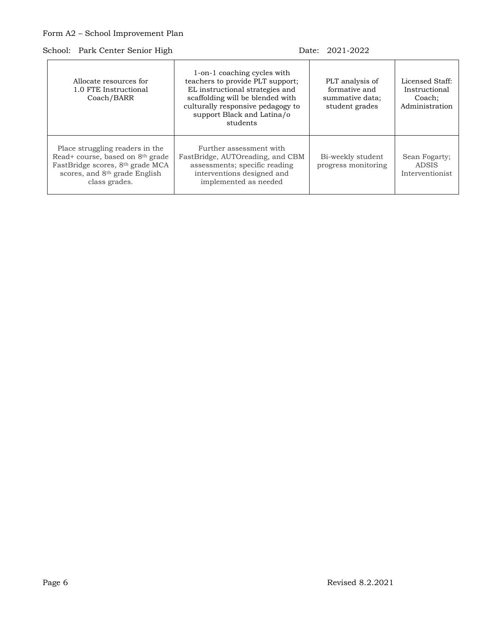| 1-on-1 coaching cycles with<br>teachers to provide PLT support;<br>Allocate resources for<br>EL instructional strategies and<br>1.0 FTE Instructional<br>scaffolding will be blended with<br>Coach/BARR<br>culturally responsive pedagogy to<br>support Black and Latina/o<br>students |                                                                                                                                                     | PLT analysis of<br>formative and<br>summative data;<br>student grades | Licensed Staff:<br>Instructional<br>Coach:<br>Administration |
|----------------------------------------------------------------------------------------------------------------------------------------------------------------------------------------------------------------------------------------------------------------------------------------|-----------------------------------------------------------------------------------------------------------------------------------------------------|-----------------------------------------------------------------------|--------------------------------------------------------------|
| Place struggling readers in the<br>Read+ course, based on 8 <sup>th</sup> grade<br>FastBridge scores, 8th grade MCA<br>scores, and 8th grade English<br>class grades.                                                                                                                  | Further assessment with<br>FastBridge, AUTOreading, and CBM<br>assessments; specific reading<br>interventions designed and<br>implemented as needed | Bi-weekly student<br>progress monitoring                              | Sean Fogarty;<br><b>ADSIS</b><br>Interventionist             |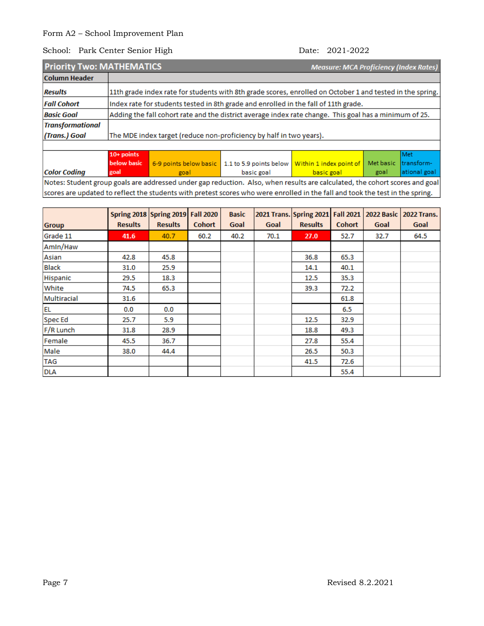### School: Park Center Senior High Date: 2021-2022

|                         | <b>Priority Two: MATHEMATICS</b><br><b>Measure: MCA Proficiency (Index Rates)</b> |                                                                                                           |                         |                         |           |              |  |  |
|-------------------------|-----------------------------------------------------------------------------------|-----------------------------------------------------------------------------------------------------------|-------------------------|-------------------------|-----------|--------------|--|--|
| <b>Column Header</b>    |                                                                                   |                                                                                                           |                         |                         |           |              |  |  |
| <b>Results</b>          |                                                                                   | 11th grade index rate for students with 8th grade scores, enrolled on October 1 and tested in the spring. |                         |                         |           |              |  |  |
| <b>Fall Cohort</b>      |                                                                                   | Index rate for students tested in 8th grade and enrolled in the fall of 11th grade.                       |                         |                         |           |              |  |  |
| <b>Basic Goal</b>       |                                                                                   | Adding the fall cohort rate and the district average index rate change. This goal has a minimum of 25.    |                         |                         |           |              |  |  |
| <b>Transformational</b> |                                                                                   |                                                                                                           |                         |                         |           |              |  |  |
| (Trans.) Goal           |                                                                                   | The MDE index target (reduce non-proficiency by half in two years).                                       |                         |                         |           |              |  |  |
|                         |                                                                                   |                                                                                                           |                         |                         |           |              |  |  |
|                         | $10+$ points                                                                      |                                                                                                           |                         |                         |           | l Met        |  |  |
|                         | below basic                                                                       | 6-9 points below basic                                                                                    | 1.1 to 5.9 points below | Within 1 index point of | Met basic | Itransform-  |  |  |
| <b>Color Coding</b>     | goal                                                                              | goal                                                                                                      | basic goal              | basic goal              | goal      | ational goal |  |  |

Notes: Student group goals are addressed under gap reduction. Also, when results are calculated, the cohort scores and goal scores are updated to reflect the students with pretest scores who were enrolled in the fall and took the test in the spring.

| <b>Group</b> | <b>Results</b> | Spring 2018 Spring 2019 Fall 2020<br><b>Results</b> | <b>Cohort</b> | <b>Basic</b><br>Goal | Goal | 2021 Trans. Spring 2021<br><b>Results</b> | <b>Fall 2021</b><br><b>Cohort</b> | 2022 Basic<br>Goal | <b>2022 Trans.</b><br>Goal |
|--------------|----------------|-----------------------------------------------------|---------------|----------------------|------|-------------------------------------------|-----------------------------------|--------------------|----------------------------|
| Grade 11     | 41.6           | 40.7                                                | 60.2          | 40.2                 | 70.1 | 27.0                                      | 52.7                              | 32.7               | 64.5                       |
| Amin/Haw     |                |                                                     |               |                      |      |                                           |                                   |                    |                            |
| Asian        | 42.8           | 45.8                                                |               |                      |      | 36.8                                      | 65.3                              |                    |                            |
| <b>Black</b> | 31.0           | 25.9                                                |               |                      |      | 14.1                                      | 40.1                              |                    |                            |
| Hispanic     | 29.5           | 18.3                                                |               |                      |      | 12.5                                      | 35.3                              |                    |                            |
| White        | 74.5           | 65.3                                                |               |                      |      | 39.3                                      | 72.2                              |                    |                            |
| Multiracial  | 31.6           |                                                     |               |                      |      |                                           | 61.8                              |                    |                            |
| <b>EL</b>    | 0.0            | 0.0                                                 |               |                      |      |                                           | 6.5                               |                    |                            |
| Spec Ed      | 25.7           | 5.9                                                 |               |                      |      | 12.5                                      | 32.9                              |                    |                            |
| F/R Lunch    | 31.8           | 28.9                                                |               |                      |      | 18.8                                      | 49.3                              |                    |                            |
| Female       | 45.5           | 36.7                                                |               |                      |      | 27.8                                      | 55.4                              |                    |                            |
| Male         | 38.0           | 44.4                                                |               |                      |      | 26.5                                      | 50.3                              |                    |                            |
| <b>TAG</b>   |                |                                                     |               |                      |      | 41.5                                      | 72.6                              |                    |                            |
| <b>DLA</b>   |                |                                                     |               |                      |      |                                           | 55.4                              |                    |                            |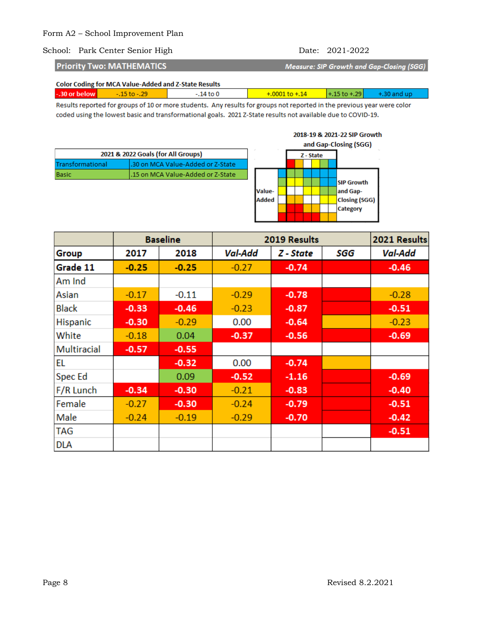**Priority Two: MATHEMATICS** 

Measure: SIP Growth and Gap-Closing (SGG)

| -.30 or below |  | $-.14$ to $0$ | $+0.0001$ to $+0.14$ $+0.15$ to $+0.29$ $+0.30$ and up |  |
|---------------|--|---------------|--------------------------------------------------------|--|
|               |  |               |                                                        |  |

Results reported for groups of 10 or more students. Any results for groups not reported in the previous year were color coded using the lowest basic and transformational goals. 2021 Z-State results not available due to COVID-19.

| 2021 & 2022 Goals (for All Groups) |                                    |  |
|------------------------------------|------------------------------------|--|
| Transformational                   | .30 on MCA Value-Added or Z-State  |  |
| <b>Basic</b>                       | l.15 on MCA Value-Added or Z-State |  |

### 2018-19 & 2021-22 SIP Growth



|              | <b>Baseline</b> |         | 2019 Results |           |     | 2021 Results |
|--------------|-----------------|---------|--------------|-----------|-----|--------------|
| Group        | 2017            | 2018    | Val-Add      | Z - State | SGG | Val-Add      |
| Grade 11     | $-0.25$         | $-0.25$ | $-0.27$      | $-0.74$   |     | $-0.46$      |
| Am Ind       |                 |         |              |           |     |              |
| Asian        | $-0.17$         | $-0.11$ | $-0.29$      | $-0.78$   |     | $-0.28$      |
| <b>Black</b> | $-0.33$         | $-0.46$ | $-0.23$      | $-0.87$   |     | $-0.51$      |
| Hispanic     | $-0.30$         | $-0.29$ | 0.00         | $-0.64$   |     | $-0.23$      |
| White        | $-0.18$         | 0.04    | $-0.37$      | $-0.56$   |     | $-0.69$      |
| Multiracial  | $-0.57$         | $-0.55$ |              |           |     |              |
| EL           |                 | $-0.32$ | 0.00         | $-0.74$   |     |              |
| Spec Ed      |                 | 0.09    | $-0.52$      | $-1.16$   |     | $-0.69$      |
| F/R Lunch    | $-0.34$         | $-0.30$ | $-0.21$      | $-0.83$   |     | $-0.40$      |
| Female       | $-0.27$         | $-0.30$ | $-0.24$      | $-0.79$   |     | $-0.51$      |
| Male         | $-0.24$         | $-0.19$ | $-0.29$      | $-0.70$   |     | $-0.42$      |
| <b>TAG</b>   |                 |         |              |           |     | $-0.51$      |
| <b>DLA</b>   |                 |         |              |           |     |              |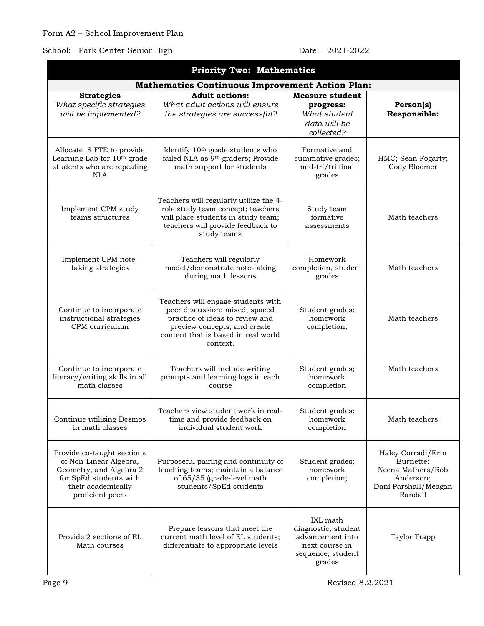## School: Park Center Senior High Date: 2021-2022

grades

| <b>Priority Two: Mathematics</b>                                                                                                                    |                                                                                                                                                                                            |                                                                                            |                                                                                                      |
|-----------------------------------------------------------------------------------------------------------------------------------------------------|--------------------------------------------------------------------------------------------------------------------------------------------------------------------------------------------|--------------------------------------------------------------------------------------------|------------------------------------------------------------------------------------------------------|
|                                                                                                                                                     | <b>Mathematics Continuous Improvement Action Plan:</b>                                                                                                                                     |                                                                                            |                                                                                                      |
| <b>Strategies</b><br>What specific strategies<br>will be implemented?                                                                               | <b>Adult</b> actions:<br>What adult actions will ensure<br>the strategies are successful?                                                                                                  | <b>Measure student</b><br>progress:<br>What student<br>data will be<br>collected?          | Person(s)<br>Responsible:                                                                            |
| Allocate .8 FTE to provide<br>Learning Lab for 10th grade<br>students who are repeating<br>NLA                                                      | Identify 10 <sup>th</sup> grade students who<br>failed NLA as 9th graders; Provide<br>math support for students                                                                            | Formative and<br>summative grades;<br>mid-tri/tri final<br>grades                          | HMC; Sean Fogarty;<br>Cody Bloomer                                                                   |
| Implement CPM study<br>teams structures                                                                                                             | Teachers will regularly utilize the 4-<br>role study team concept; teachers<br>will place students in study team;<br>teachers will provide feedback to<br>study teams                      | Study team<br>formative<br>assessments                                                     | Math teachers                                                                                        |
| Implement CPM note-<br>taking strategies                                                                                                            | Teachers will regularly<br>model/demonstrate note-taking<br>during math lessons                                                                                                            | Homework<br>completion, student<br>grades                                                  | Math teachers                                                                                        |
| Continue to incorporate<br>instructional strategies<br>CPM curriculum                                                                               | Teachers will engage students with<br>peer discussion; mixed, spaced<br>practice of ideas to review and<br>preview concepts; and create<br>content that is based in real world<br>context. | Student grades;<br>homework<br>completion;                                                 | Math teachers                                                                                        |
| Continue to incorporate<br>literacy/writing skills in all<br>math classes                                                                           | Teachers will include writing<br>prompts and learning logs in each<br>course                                                                                                               | Student grades;<br>homework<br>completion                                                  | Math teachers                                                                                        |
| Continue utilizing Desmos<br>in math classes                                                                                                        | Teachers view student work in real-<br>time and provide feedback on<br>individual student work                                                                                             | Student grades;<br>homework<br>completion                                                  | Math teachers                                                                                        |
| Provide co-taught sections<br>of Non-Linear Algebra,<br>Geometry, and Algebra 2<br>for SpEd students with<br>their academically<br>proficient peers | Purposeful pairing and continuity of<br>teaching teams; maintain a balance<br>of 65/35 (grade-level math<br>students/SpEd students                                                         | Student grades;<br>homework<br>completion;                                                 | Haley Corradi/Erin<br>Burnette:<br>Neena Mathers/Rob<br>Anderson;<br>Dani Parshall/Meagan<br>Randall |
| Provide 2 sections of EL<br>Math courses                                                                                                            | Prepare lessons that meet the<br>current math level of EL students;<br>differentiate to appropriate levels                                                                                 | IXL math<br>diagnostic; student<br>advancement into<br>next course in<br>sequence; student | Taylor Trapp                                                                                         |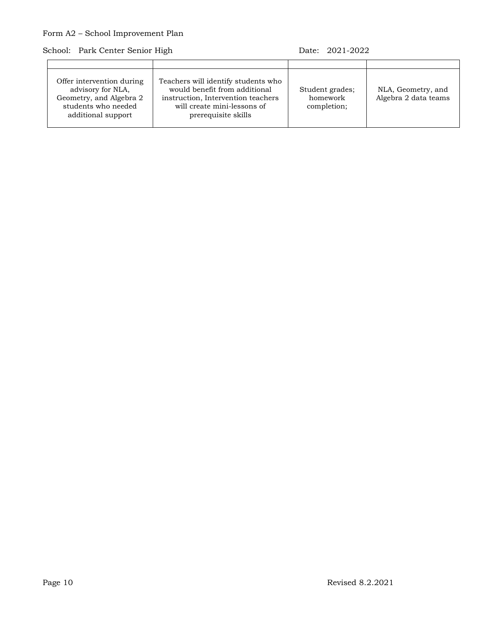| Offer intervention during<br>advisory for NLA,<br>Geometry, and Algebra 2<br>students who needed<br>additional support | Teachers will identify students who<br>would benefit from additional<br>instruction, Intervention teachers<br>will create mini-lessons of<br>prerequisite skills | Student grades;<br>homework<br>completion; | NLA, Geometry, and<br>Algebra 2 data teams |
|------------------------------------------------------------------------------------------------------------------------|------------------------------------------------------------------------------------------------------------------------------------------------------------------|--------------------------------------------|--------------------------------------------|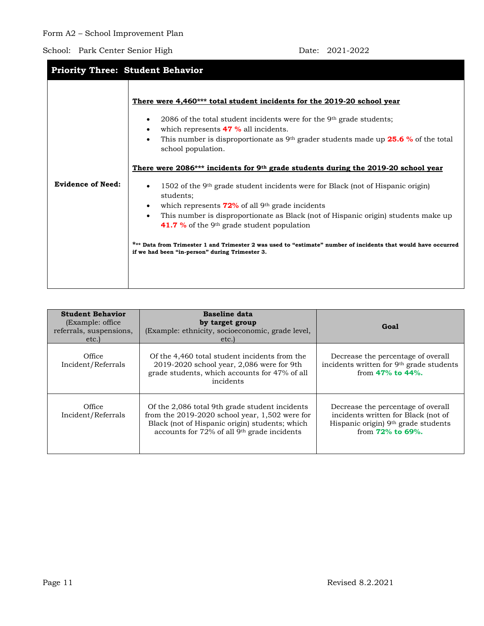| <b>Priority Three: Student Behavior</b> |                                                                                                                                                                                                                                                                                                                                                                                                                                                                                                                                                                                                                                                                                                                                                                                                                                                                                                                                                                                                      |  |  |  |
|-----------------------------------------|------------------------------------------------------------------------------------------------------------------------------------------------------------------------------------------------------------------------------------------------------------------------------------------------------------------------------------------------------------------------------------------------------------------------------------------------------------------------------------------------------------------------------------------------------------------------------------------------------------------------------------------------------------------------------------------------------------------------------------------------------------------------------------------------------------------------------------------------------------------------------------------------------------------------------------------------------------------------------------------------------|--|--|--|
| <b>Evidence of Need:</b>                | There were 4,460*** total student incidents for the 2019-20 school year<br>2086 of the total student incidents were for the 9 <sup>th</sup> grade students;<br>$\bullet$<br>which represents <b>47 %</b> all incidents.<br>$\bullet$<br>This number is disproportionate as $9th$ grader students made up <b>25.6</b> % of the total<br>$\bullet$<br>school population.<br>There were 2086*** incidents for 9th grade students during the 2019-20 school year<br>1502 of the 9 <sup>th</sup> grade student incidents were for Black (not of Hispanic origin)<br>$\bullet$<br>students;<br>which represents $72\%$ of all 9 <sup>th</sup> grade incidents<br>$\bullet$<br>This number is disproportionate as Black (not of Hispanic origin) students make up<br>$\bullet$<br>41.7 % of the 9 <sup>th</sup> grade student population<br>*** Data from Trimester 1 and Trimester 2 was used to "estimate" number of incidents that would have occurred<br>if we had been "in-person" during Trimester 3. |  |  |  |
|                                         |                                                                                                                                                                                                                                                                                                                                                                                                                                                                                                                                                                                                                                                                                                                                                                                                                                                                                                                                                                                                      |  |  |  |

| <b>Student Behavior</b><br>(Example: office)<br>referrals, suspensions,<br>etc. | <b>Baseline data</b><br>by target group<br>(Example: ethnicity, socioeconomic, grade level,<br>etc.                                                                                                             | Goal                                                                                                                                   |
|---------------------------------------------------------------------------------|-----------------------------------------------------------------------------------------------------------------------------------------------------------------------------------------------------------------|----------------------------------------------------------------------------------------------------------------------------------------|
| Office<br>Incident/Referrals                                                    | Of the 4,460 total student incidents from the<br>2019-2020 school year, 2,086 were for 9th<br>grade students, which accounts for 47% of all<br>incidents                                                        | Decrease the percentage of overall<br>incidents written for 9th grade students<br>from $47%$ to $44%$ .                                |
| Office<br>Incident/Referrals                                                    | Of the 2,086 total 9th grade student incidents<br>from the $2019-2020$ school year, 1,502 were for<br>Black (not of Hispanic origin) students; which<br>accounts for 72% of all 9 <sup>th</sup> grade incidents | Decrease the percentage of overall<br>incidents written for Black (not of<br>Hispanic origin) 9th grade students<br>from $72%$ to 69%. |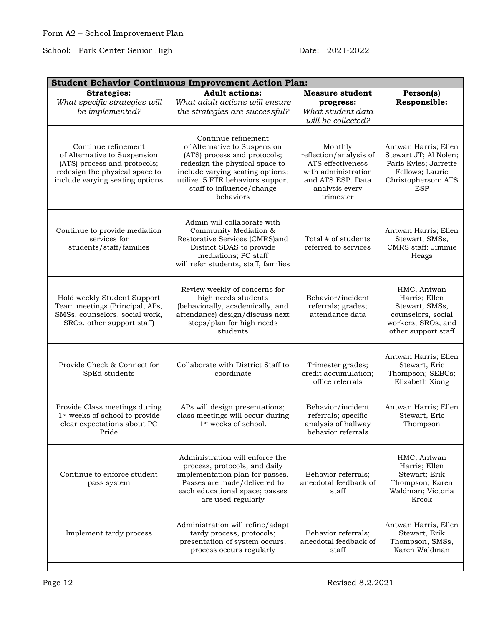| <b>Student Behavior Continuous Improvement Action Plan:</b>                                                                                              |                                                                                                                                                                                                                                         |                                                                                                                                   |                                                                                                                                |
|----------------------------------------------------------------------------------------------------------------------------------------------------------|-----------------------------------------------------------------------------------------------------------------------------------------------------------------------------------------------------------------------------------------|-----------------------------------------------------------------------------------------------------------------------------------|--------------------------------------------------------------------------------------------------------------------------------|
| <b>Strategies:</b><br>What specific strategies will<br>be implemented?                                                                                   | <b>Adult actions:</b><br>What adult actions will ensure<br>the strategies are successful?                                                                                                                                               | <b>Measure student</b><br>progress:<br>What student data<br>will be collected?                                                    | Person(s)<br>Responsible:                                                                                                      |
| Continue refinement<br>of Alternative to Suspension<br>(ATS) process and protocols;<br>redesign the physical space to<br>include varying seating options | Continue refinement<br>of Alternative to Suspension<br>(ATS) process and protocols;<br>redesign the physical space to<br>include varying seating options;<br>utilize .5 FTE behaviors support<br>staff to influence/change<br>behaviors | Monthly<br>reflection/analysis of<br>ATS effectiveness<br>with administration<br>and ATS ESP. Data<br>analysis every<br>trimester | Antwan Harris; Ellen<br>Stewart JT; Al Nolen;<br>Paris Kyles; Jarrette<br>Fellows; Laurie<br>Christopherson: ATS<br><b>ESP</b> |
| Continue to provide mediation<br>services for<br>students/staff/families                                                                                 | Admin will collaborate with<br>Community Mediation &<br>Restorative Services (CMRS)and<br>District SDAS to provide<br>mediations; PC staff<br>will refer students, staff, families                                                      | Total # of students<br>referred to services                                                                                       | Antwan Harris; Ellen<br>Stewart, SMSs,<br>CMRS staff: Jimmie<br>Heags                                                          |
| Hold weekly Student Support<br>Team meetings (Principal, APs,<br>SMSs, counselors, social work,<br>SROs, other support staff)                            | Review weekly of concerns for<br>high needs students<br>(behaviorally, academically, and<br>attendance) design/discuss next<br>steps/plan for high needs<br>students                                                                    | Behavior/incident<br>referrals; grades;<br>attendance data                                                                        | HMC, Antwan<br>Harris; Ellen<br>Stewart; SMSs,<br>counselors, social<br>workers, SROs, and<br>other support staff              |
| Provide Check & Connect for<br>SpEd students                                                                                                             | Collaborate with District Staff to<br>coordinate                                                                                                                                                                                        | Trimester grades;<br>credit accumulation;<br>office referrals                                                                     | Antwan Harris; Ellen<br>Stewart, Eric<br>Thompson; SEBCs;<br>Elizabeth Xiong                                                   |
| Provide Class meetings during<br>1st weeks of school to provide<br>clear expectations about PC<br>Pride                                                  | APs will design presentations;<br>class meetings will occur during<br>1 <sup>st</sup> weeks of school.                                                                                                                                  | Behavior/incident<br>referrals; specific<br>analysis of hallway<br>behavior referrals                                             | Antwan Harris; Ellen<br>Stewart, Eric<br>Thompson                                                                              |
| Continue to enforce student<br>pass system                                                                                                               | Administration will enforce the<br>process, protocols, and daily<br>implementation plan for passes.<br>Passes are made/delivered to<br>each educational space; passes<br>are used regularly                                             | Behavior referrals;<br>anecdotal feedback of<br>staff                                                                             | HMC; Antwan<br>Harris; Ellen<br>Stewart; Erik<br>Thompson; Karen<br>Waldman; Victoria<br>Krook                                 |
| Implement tardy process                                                                                                                                  | Administration will refine/adapt<br>tardy process, protocols;<br>presentation of system occurs;<br>process occurs regularly                                                                                                             | Behavior referrals;<br>anecdotal feedback of<br>staff                                                                             | Antwan Harris, Ellen<br>Stewart, Erik<br>Thompson, SMSs,<br>Karen Waldman                                                      |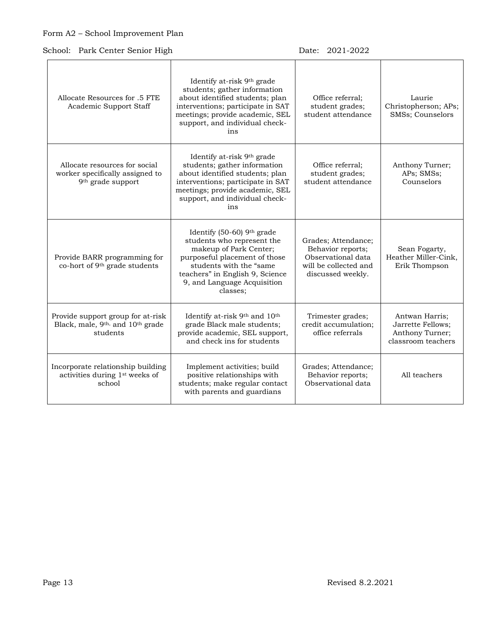School: Park Center Senior High Date: 2021-2022

| Allocate Resources for .5 FTE<br>Academic Support Staff                                                   | Identify at-risk 9 <sup>th</sup> grade<br>students; gather information<br>about identified students; plan<br>interventions; participate in SAT<br>meetings; provide academic, SEL<br>support, and individual check-<br>ins   | Office referral:<br>student grades;<br>student attendance                                                    | Laurie<br>Christopherson; APs;<br>SMSs; Counselors                           |
|-----------------------------------------------------------------------------------------------------------|------------------------------------------------------------------------------------------------------------------------------------------------------------------------------------------------------------------------------|--------------------------------------------------------------------------------------------------------------|------------------------------------------------------------------------------|
| Allocate resources for social<br>worker specifically assigned to<br>9 <sup>th</sup> grade support         | Identify at-risk 9th grade<br>students; gather information<br>about identified students; plan<br>interventions; participate in SAT<br>meetings; provide academic, SEL<br>support, and individual check-<br>ins               | Office referral;<br>student grades;<br>student attendance                                                    | Anthony Turner;<br>APs; SMSs;<br>Counselors                                  |
| Provide BARR programming for<br>co-hort of 9 <sup>th</sup> grade students                                 | Identify (50-60) 9th grade<br>students who represent the<br>makeup of Park Center;<br>purposeful placement of those<br>students with the "same<br>teachers" in English 9, Science<br>9, and Language Acquisition<br>classes: | Grades; Attendance;<br>Behavior reports;<br>Observational data<br>will be collected and<br>discussed weekly. | Sean Fogarty,<br>Heather Miller-Cink,<br>Erik Thompson                       |
| Provide support group for at-risk<br>Black, male, 9 <sup>th,</sup> and 10 <sup>th</sup> grade<br>students | Identify at-risk 9th and 10th<br>grade Black male students;<br>provide academic, SEL support,<br>and check ins for students                                                                                                  | Trimester grades;<br>credit accumulation;<br>office referrals                                                | Antwan Harris;<br>Jarrette Fellows;<br>Anthony Turner;<br>classroom teachers |
| Incorporate relationship building<br>activities during 1 <sup>st</sup> weeks of<br>school                 | Implement activities; build<br>positive relationships with<br>students; make regular contact<br>with parents and guardians                                                                                                   | Grades; Attendance;<br>Behavior reports;<br>Observational data                                               | All teachers                                                                 |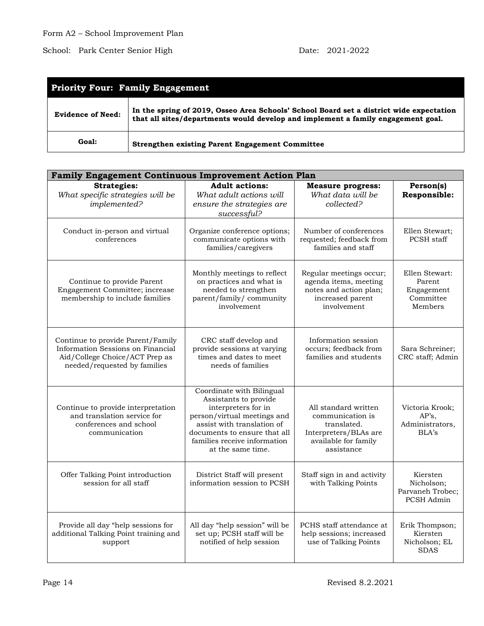| <b>Priority Four: Family Engagement</b> |                                                                                                                                                                             |  |  |  |
|-----------------------------------------|-----------------------------------------------------------------------------------------------------------------------------------------------------------------------------|--|--|--|
| <b>Evidence of Need:</b>                | In the spring of 2019, Osseo Area Schools' School Board set a district wide expectation<br>that all sites/departments would develop and implement a family engagement goal. |  |  |  |
| Goal:                                   | <b>Strengthen existing Parent Engagement Committee</b>                                                                                                                      |  |  |  |

| <b>Family Engagement Continuous Improvement Action Plan</b>                                                                              |                                                                                                                                                                                                                             |                                                                                                                        |                                                                |
|------------------------------------------------------------------------------------------------------------------------------------------|-----------------------------------------------------------------------------------------------------------------------------------------------------------------------------------------------------------------------------|------------------------------------------------------------------------------------------------------------------------|----------------------------------------------------------------|
| <b>Strategies:</b><br>What specific strategies will be<br>implemented?                                                                   | <b>Adult actions:</b><br>What adult actions will<br>ensure the strategies are<br>successful?                                                                                                                                | <b>Measure progress:</b><br>What data will be<br>collected?                                                            | Person(s)<br>Responsible:                                      |
| Conduct in-person and virtual<br>conferences                                                                                             | Organize conference options;<br>communicate options with<br>families/caregivers                                                                                                                                             | Number of conferences<br>requested; feedback from<br>families and staff                                                | Ellen Stewart;<br>PCSH staff                                   |
| Continue to provide Parent<br>Engagement Committee; increase<br>membership to include families                                           | Monthly meetings to reflect<br>on practices and what is<br>needed to strengthen<br>parent/family/community<br>involvement                                                                                                   | Regular meetings occur;<br>agenda items, meeting<br>notes and action plan;<br>increased parent<br>involvement          | Ellen Stewart:<br>Parent<br>Engagement<br>Committee<br>Members |
| Continue to provide Parent/Family<br>Information Sessions on Financial<br>Aid/College Choice/ACT Prep as<br>needed/requested by families | CRC staff develop and<br>provide sessions at varying<br>times and dates to meet<br>needs of families                                                                                                                        | Information session<br>occurs; feedback from<br>families and students                                                  | Sara Schreiner;<br>CRC staff; Admin                            |
| Continue to provide interpretation<br>and translation service for<br>conferences and school<br>communication                             | Coordinate with Bilingual<br>Assistants to provide<br>interpreters for in<br>person/virtual meetings and<br>assist with translation of<br>documents to ensure that all<br>families receive information<br>at the same time. | All standard written<br>communication is<br>translated.<br>Interpreters/BLAs are<br>available for family<br>assistance | Victoria Krook;<br>AP's,<br>Administrators,<br>BLA's           |
| Offer Talking Point introduction<br>session for all staff                                                                                | District Staff will present<br>information session to PCSH                                                                                                                                                                  | Staff sign in and activity<br>with Talking Points                                                                      | Kiersten<br>Nicholson;<br>Parvaneh Trobec;<br>PCSH Admin       |
| Provide all day "help sessions for<br>additional Talking Point training and<br>support                                                   | All day "help session" will be<br>set up; PCSH staff will be<br>notified of help session                                                                                                                                    | PCHS staff attendance at<br>help sessions; increased<br>use of Talking Points                                          | Erik Thompson;<br>Kiersten<br>Nicholson; EL<br><b>SDAS</b>     |